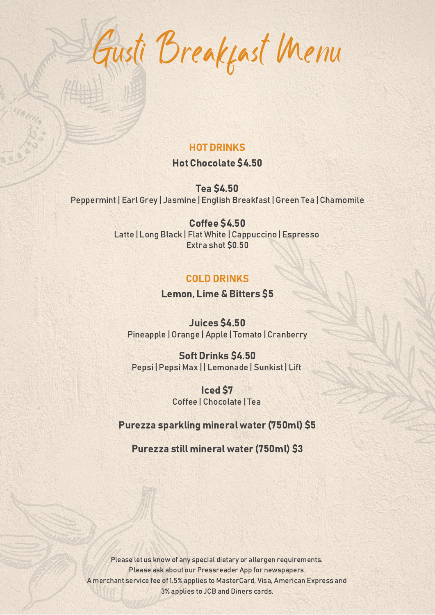Gusti Breakfast Menu

## **HOT DRINKS**

## **Hot Chocolate \$4.50**

**Tea \$4.50** Peppermint | Earl Grey | Jasmine | English Breakfast | Green Tea | Chamomile

> Coffee \$4.50 Latte | Long Black | Flat White | Cappuccino | Espresso Extra shot \$0.50

## COLD DRINKS

Lemon, Lime & Bitters 5

**Juices \$4.50** Pineapple | Orange | Apple | Tomato | Cranberry

**Soft Drinks \$4.50** Pepsi | Pepsi Max | | Lemonade | Sunkist | Lift

> **Iced S7** Coffee | Chocolate | Tea

Purezza sparkling mineral water (750ml) 5

Purezza still mineral water (750ml) 3

Please let us know of any special dietary or allergen requirements. Please ask about our Pressreader App for newspapers. A merchant service fee of 1.5%applies to MasterCard, Visa, American Express and 3%applies to JCB and Diners cards.